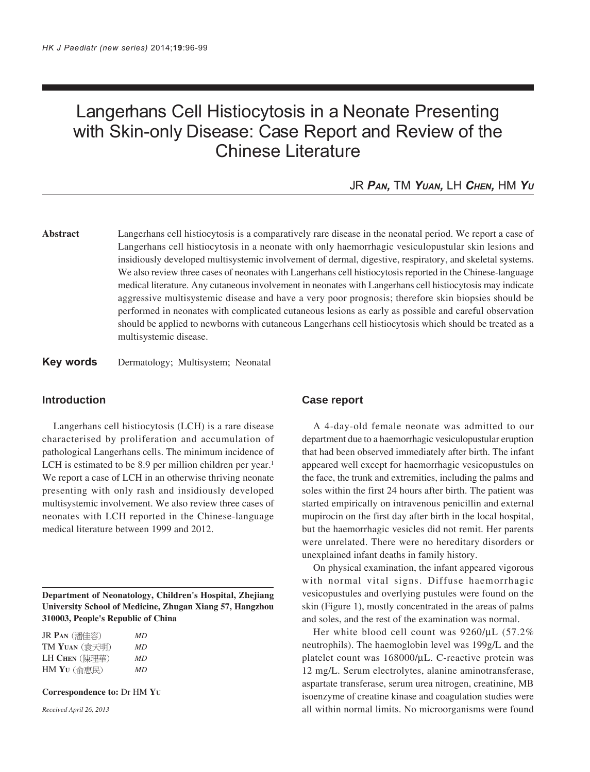# Langerhans Cell Histiocytosis in a Neonate Presenting with Skin-only Disease: Case Report and Review of the Chinese Literature

JR *PAN,* TM *YUAN,* LH *CHEN,* HM *YU*

**Abstract** Langerhans cell histiocytosis is a comparatively rare disease in the neonatal period. We report a case of Langerhans cell histiocytosis in a neonate with only haemorrhagic vesiculopustular skin lesions and insidiously developed multisystemic involvement of dermal, digestive, respiratory, and skeletal systems. We also review three cases of neonates with Langerhans cell histiocytosis reported in the Chinese-language medical literature. Any cutaneous involvement in neonates with Langerhans cell histiocytosis may indicate aggressive multisystemic disease and have a very poor prognosis; therefore skin biopsies should be performed in neonates with complicated cutaneous lesions as early as possible and careful observation should be applied to newborns with cutaneous Langerhans cell histiocytosis which should be treated as a multisystemic disease.

**Key words** Dermatology; Multisystem; Neonatal

### **Introduction**

Langerhans cell histiocytosis (LCH) is a rare disease characterised by proliferation and accumulation of pathological Langerhans cells. The minimum incidence of LCH is estimated to be 8.9 per million children per year.<sup>1</sup> We report a case of LCH in an otherwise thriving neonate presenting with only rash and insidiously developed multisystemic involvement. We also review three cases of neonates with LCH reported in the Chinese-language medical literature between 1999 and 2012.

**Department of Neonatology, Children's Hospital, Zhejiang University School of Medicine, Zhugan Xiang 57, Hangzhou 310003, People's Republic of China**

| JR Pan (潘佳容)                                | MD |
|---------------------------------------------|----|
| $\text{TM Y}$ UAN (袁天明)                     | MD |
| LH Chen (陳理華)                               | MD |
| $HM YU$ $(\Uparrow \overline{R}\mathbb{R})$ | MD |

**Correspondence to:** Dr HM **YU**

*Received April 26, 2013*

## **Case report**

A 4-day-old female neonate was admitted to our department due to a haemorrhagic vesiculopustular eruption that had been observed immediately after birth. The infant appeared well except for haemorrhagic vesicopustules on the face, the trunk and extremities, including the palms and soles within the first 24 hours after birth. The patient was started empirically on intravenous penicillin and external mupirocin on the first day after birth in the local hospital, but the haemorrhagic vesicles did not remit. Her parents were unrelated. There were no hereditary disorders or unexplained infant deaths in family history.

On physical examination, the infant appeared vigorous with normal vital signs. Diffuse haemorrhagic vesicopustules and overlying pustules were found on the skin (Figure 1), mostly concentrated in the areas of palms and soles, and the rest of the examination was normal.

Her white blood cell count was 9260/µL (57.2% neutrophils). The haemoglobin level was 199g/L and the platelet count was 168000/µL. C-reactive protein was 12 mg/L. Serum electrolytes, alanine aminotransferase, aspartate transferase, serum urea nitrogen, creatinine, MB isoenzyme of creatine kinase and coagulation studies were all within normal limits. No microorganisms were found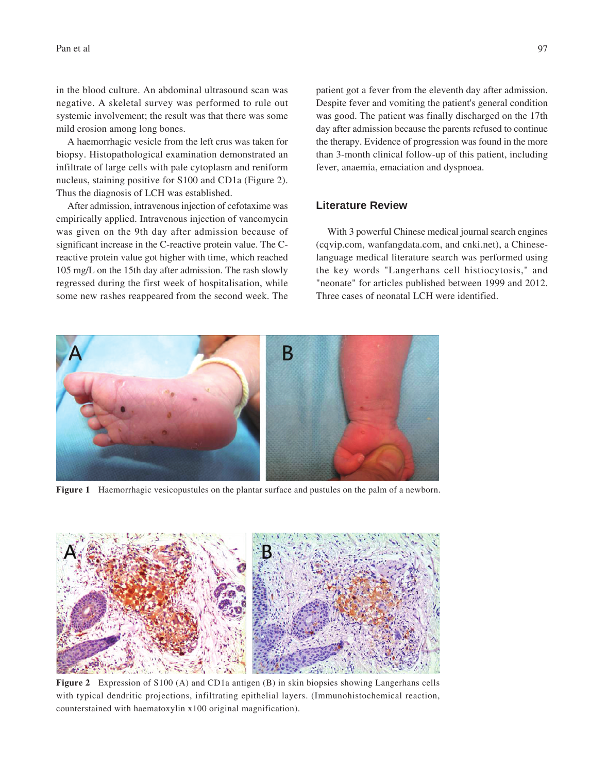in the blood culture. An abdominal ultrasound scan was negative. A skeletal survey was performed to rule out systemic involvement; the result was that there was some mild erosion among long bones.

A haemorrhagic vesicle from the left crus was taken for biopsy. Histopathological examination demonstrated an infiltrate of large cells with pale cytoplasm and reniform nucleus, staining positive for S100 and CD1a (Figure 2). Thus the diagnosis of LCH was established.

After admission, intravenous injection of cefotaxime was empirically applied. Intravenous injection of vancomycin was given on the 9th day after admission because of significant increase in the C-reactive protein value. The Creactive protein value got higher with time, which reached 105 mg/L on the 15th day after admission. The rash slowly regressed during the first week of hospitalisation, while some new rashes reappeared from the second week. The

patient got a fever from the eleventh day after admission. Despite fever and vomiting the patient's general condition was good. The patient was finally discharged on the 17th day after admission because the parents refused to continue the therapy. Evidence of progression was found in the more than 3-month clinical follow-up of this patient, including fever, anaemia, emaciation and dyspnoea.

#### **Literature Review**

With 3 powerful Chinese medical journal search engines (cqvip.com, wanfangdata.com, and cnki.net), a Chineselanguage medical literature search was performed using the key words "Langerhans cell histiocytosis," and "neonate" for articles published between 1999 and 2012. Three cases of neonatal LCH were identified.



**Figure 1** Haemorrhagic vesicopustules on the plantar surface and pustules on the palm of a newborn.



**Figure 2** Expression of S100 (A) and CD1a antigen (B) in skin biopsies showing Langerhans cells with typical dendritic projections, infiltrating epithelial layers. (Immunohistochemical reaction, counterstained with haematoxylin x100 original magnification).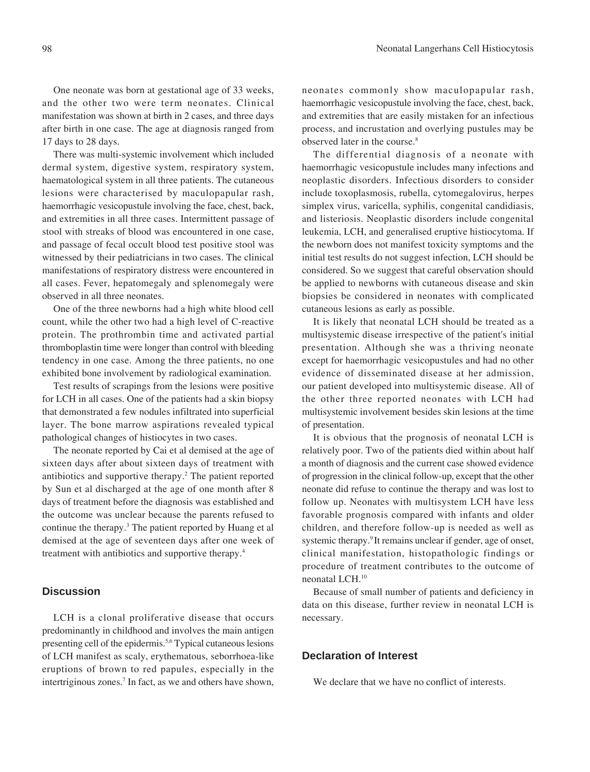One neonate was born at gestational age of 33 weeks, and the other two were term neonates. Clinical manifestation was shown at birth in 2 cases, and three days after birth in one case. The age at diagnosis ranged from 17 days to 28 days.

There was multi-systemic involvement which included dermal system, digestive system, respiratory system, haematological system in all three patients. The cutaneous lesions were characterised by maculopapular rash, haemorrhagic vesicopustule involving the face, chest, back, and extremities in all three cases. Intermittent passage of stool with streaks of blood was encountered in one case, and passage of fecal occult blood test positive stool was witnessed by their pediatricians in two cases. The clinical manifestations of respiratory distress were encountered in all cases. Fever, hepatomegaly and splenomegaly were observed in all three neonates.

One of the three newborns had a high white blood cell count, while the other two had a high level of C-reactive protein. The prothrombin time and activated partial thromboplastin time were longer than control with bleeding tendency in one case. Among the three patients, no one exhibited bone involvement by radiological examination.

Test results of scrapings from the lesions were positive for LCH in all cases. One of the patients had a skin biopsy that demonstrated a few nodules infiltrated into superficial layer. The bone marrow aspirations revealed typical pathological changes of histiocytes in two cases.

The neonate reported by Cai et al demised at the age of sixteen days after about sixteen days of treatment with antibiotics and supportive therapy.2 The patient reported by Sun et al discharged at the age of one month after 8 days of treatment before the diagnosis was established and the outcome was unclear because the parents refused to continue the therapy.3 The patient reported by Huang et al demised at the age of seventeen days after one week of treatment with antibiotics and supportive therapy.4

## **Discussion**

LCH is a clonal proliferative disease that occurs predominantly in childhood and involves the main antigen presenting cell of the epidermis.5,6 Typical cutaneous lesions of LCH manifest as scaly, erythematous, seborrhoea-like eruptions of brown to red papules, especially in the intertriginous zones.<sup>7</sup> In fact, as we and others have shown,

neonates commonly show maculopapular rash, haemorrhagic vesicopustule involving the face, chest, back, and extremities that are easily mistaken for an infectious process, and incrustation and overlying pustules may be observed later in the course.8

The differential diagnosis of a neonate with haemorrhagic vesicopustule includes many infections and neoplastic disorders. Infectious disorders to consider include toxoplasmosis, rubella, cytomegalovirus, herpes simplex virus, varicella, syphilis, congenital candidiasis, and listeriosis. Neoplastic disorders include congenital leukemia, LCH, and generalised eruptive histiocytoma. If the newborn does not manifest toxicity symptoms and the initial test results do not suggest infection, LCH should be considered. So we suggest that careful observation should be applied to newborns with cutaneous disease and skin biopsies be considered in neonates with complicated cutaneous lesions as early as possible.

It is likely that neonatal LCH should be treated as a multisystemic disease irrespective of the patient's initial presentation. Although she was a thriving neonate except for haemorrhagic vesicopustules and had no other evidence of disseminated disease at her admission, our patient developed into multisystemic disease. All of the other three reported neonates with LCH had multisystemic involvement besides skin lesions at the time of presentation.

It is obvious that the prognosis of neonatal LCH is relatively poor. Two of the patients died within about half a month of diagnosis and the current case showed evidence of progression in the clinical follow-up, except that the other neonate did refuse to continue the therapy and was lost to follow up. Neonates with multisystem LCH have less favorable prognosis compared with infants and older children, and therefore follow-up is needed as well as systemic therapy.<sup>9</sup> It remains unclear if gender, age of onset, clinical manifestation, histopathologic findings or procedure of treatment contributes to the outcome of neonatal LCH.10

Because of small number of patients and deficiency in data on this disease, further review in neonatal LCH is necessary.

#### **Declaration of Interest**

We declare that we have no conflict of interests.